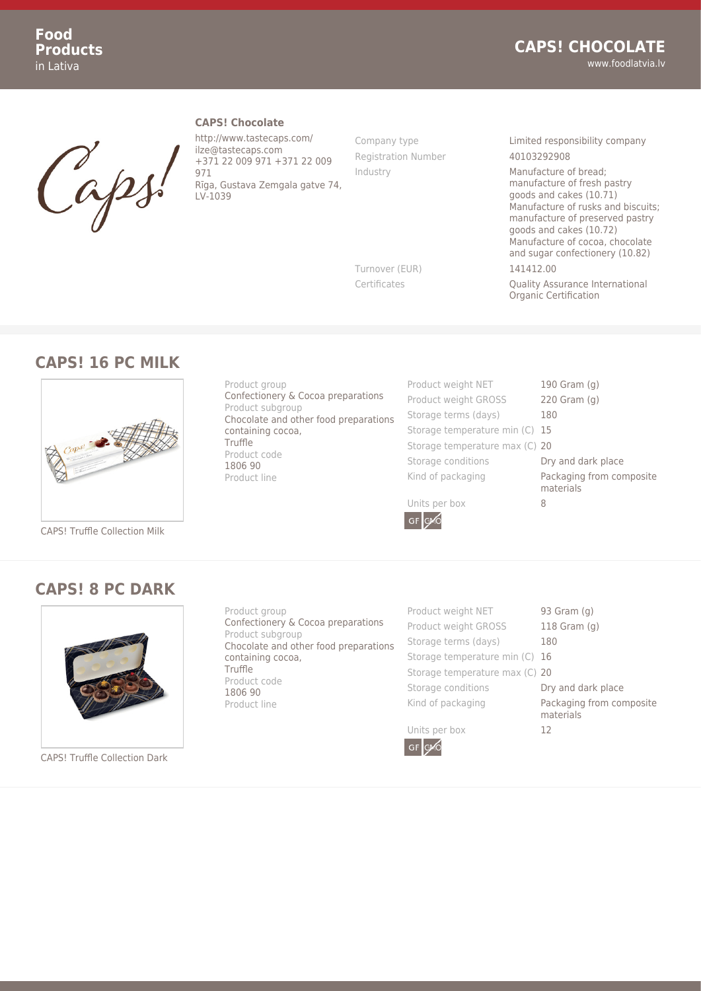

#### **CAPS! Chocolate**

http://www.tastecaps.com/ ilze@tastecaps.com +371 22 009 971 +371 22 009 971 Rīga, Gustava Zemgala gatve 74, LV-1039

Registration Number 40103292908

Company type Limited responsibility company

Industry Manufacture of bread; manufacture of fresh pastry goods and cakes (10.71) Manufacture of rusks and biscuits; manufacture of preserved pastry goods and cakes (10.72) Manufacture of cocoa, chocolate and sugar confectionery (10.82) Turnover (EUR) 141412.00

Certificates Quality Assurance International Organic Certification

#### **CAPS! 16 PC MILK**



CAPS! Truffle Collection Milk

#### **CAPS! 8 PC DARK**



CAPS! Truffle Collection Dark

Product group Confectionery & Cocoa preparations Product subgroup Chocolate and other food preparations containing cocoa, Truffle Product code 1806 90 Product line

Confectionery & Cocoa preparations

Chocolate and other food preparations

Product group

Product subgroup

containing cocoa,

Truffle Product code 1806 90 Product line

Product weight NET 190 Gram (g) Product weight GROSS 220 Gram (g) Storage terms (days) 180 Storage temperature min (C) 15 Storage temperature max (C) 20 Storage conditions **Dry and dark place** Kind of packaging **Packaging from composite** 

materials

Units per box 8





Product weight NET 93 Gram (g) Product weight GROSS 118 Gram (g) Storage terms (days) 180 Storage temperature min (C) 16 Storage temperature max (C) 20 Storage conditions **Dry and dark place** Kind of packaging **Packaging from composite** 



materials